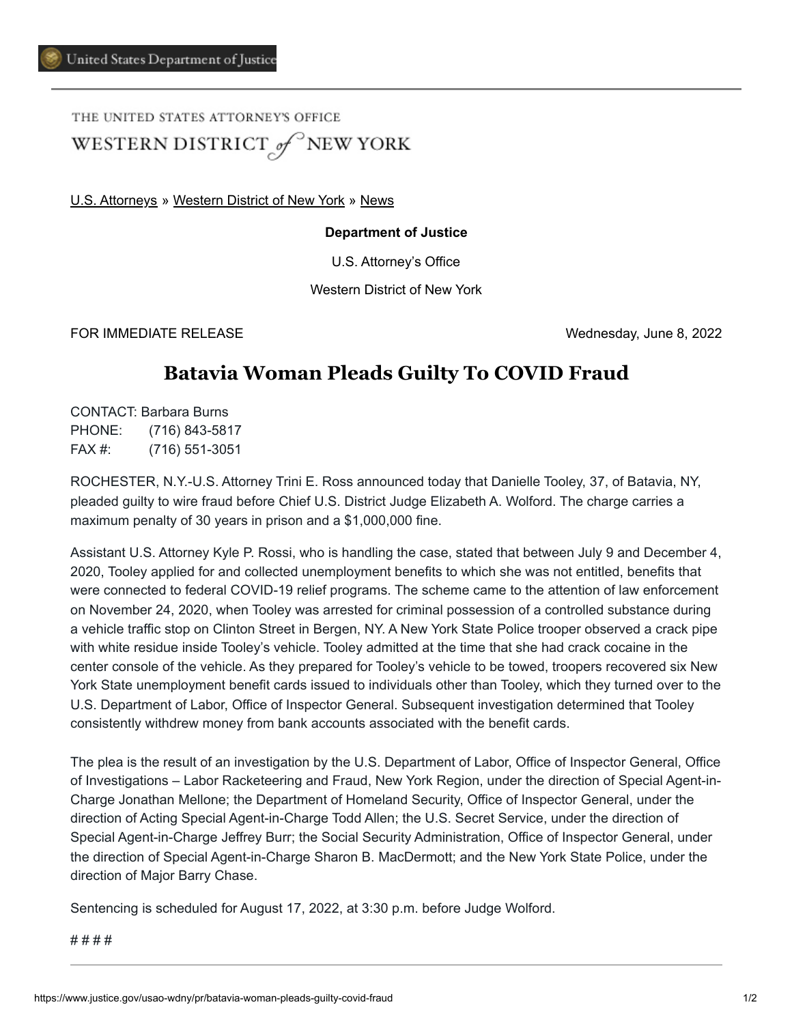THE UNITED STATES ATTORNEY'S OFFICE WESTERN DISTRICT of NEW YORK

[U.S. Attorneys](https://www.justice.gov/usao) » [Western District of New York](https://www.justice.gov/usao-wdny) » [News](https://www.justice.gov/usao-wdny/pr)

## **Department of Justice**

U.S. Attorney's Office

Western District of New York

FOR IMMEDIATE RELEASE Wednesday, June 8, 2022

## **Batavia Woman Pleads Guilty To COVID Fraud**

CONTACT: Barbara Burns PHONE: (716) 843-5817 FAX #: (716) 551-3051

ROCHESTER, N.Y.-U.S. Attorney Trini E. Ross announced today that Danielle Tooley, 37, of Batavia, NY, pleaded guilty to wire fraud before Chief U.S. District Judge Elizabeth A. Wolford. The charge carries a maximum penalty of 30 years in prison and a \$1,000,000 fine.

Assistant U.S. Attorney Kyle P. Rossi, who is handling the case, stated that between July 9 and December 4, 2020, Tooley applied for and collected unemployment benefits to which she was not entitled, benefits that were connected to federal COVID-19 relief programs. The scheme came to the attention of law enforcement on November 24, 2020, when Tooley was arrested for criminal possession of a controlled substance during a vehicle traffic stop on Clinton Street in Bergen, NY. A New York State Police trooper observed a crack pipe with white residue inside Tooley's vehicle. Tooley admitted at the time that she had crack cocaine in the center console of the vehicle. As they prepared for Tooley's vehicle to be towed, troopers recovered six New York State unemployment benefit cards issued to individuals other than Tooley, which they turned over to the U.S. Department of Labor, Office of Inspector General. Subsequent investigation determined that Tooley consistently withdrew money from bank accounts associated with the benefit cards.

The plea is the result of an investigation by the U.S. Department of Labor, Office of Inspector General, Office of Investigations – Labor Racketeering and Fraud, New York Region, under the direction of Special Agent-in-Charge Jonathan Mellone; the Department of Homeland Security, Office of Inspector General, under the direction of Acting Special Agent-in-Charge Todd Allen; the U.S. Secret Service, under the direction of Special Agent-in-Charge Jeffrey Burr; the Social Security Administration, Office of Inspector General, under the direction of Special Agent-in-Charge Sharon B. MacDermott; and the New York State Police, under the direction of Major Barry Chase.

Sentencing is scheduled for August 17, 2022, at 3:30 p.m. before Judge Wolford.

# # # #